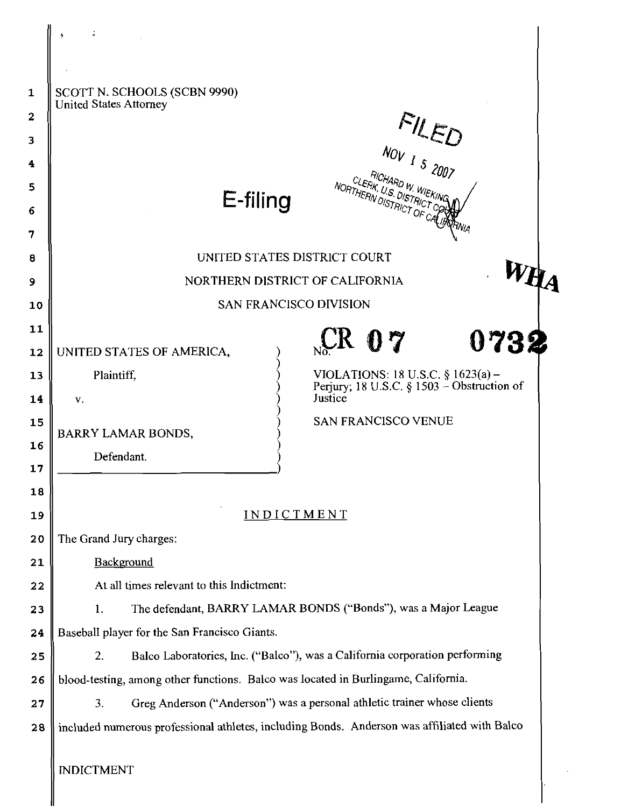| 1  | SCOTT N. SCHOOLS (SCBN 9990)                                                                  |  |  |  |  |
|----|-----------------------------------------------------------------------------------------------|--|--|--|--|
| 2  | <b>United States Attorney</b>                                                                 |  |  |  |  |
| 3  |                                                                                               |  |  |  |  |
| 4  | FILED                                                                                         |  |  |  |  |
| 5  | NORTHERN DISTRICT OF CALLERY                                                                  |  |  |  |  |
| 6  | E-filing                                                                                      |  |  |  |  |
| 7  | <sup>ran</sup> ia                                                                             |  |  |  |  |
| 8  | UNITED STATES DISTRICT COURT                                                                  |  |  |  |  |
| 9  | NORTHERN DISTRICT OF CALIFORNIA                                                               |  |  |  |  |
| 10 | <b>SAN FRANCISCO DIVISION</b>                                                                 |  |  |  |  |
| 11 |                                                                                               |  |  |  |  |
| 12 | $C_{\rm K}$ 07<br>0732<br>UNITED STATES OF AMERICA,                                           |  |  |  |  |
| 13 | VIOLATIONS: 18 U.S.C. § 1623(a) -<br>Plaintiff,<br>Perjury; 18 U.S.C. § 1503 – Obstruction of |  |  |  |  |
| 14 | Justice<br>V.                                                                                 |  |  |  |  |
| 15 | <b>SAN FRANCISCO VENUE</b><br>BARRY LAMAR BONDS,                                              |  |  |  |  |
| 16 | Defendant.                                                                                    |  |  |  |  |
| 17 |                                                                                               |  |  |  |  |
| 18 |                                                                                               |  |  |  |  |
| 19 | INDICTMENT                                                                                    |  |  |  |  |
| 20 | The Grand Jury charges:                                                                       |  |  |  |  |
| 21 | Background                                                                                    |  |  |  |  |
| 22 | At all times relevant to this Indictment:                                                     |  |  |  |  |
| 23 | The defendant, BARRY LAMAR BONDS ("Bonds"), was a Major League<br>1.                          |  |  |  |  |
| 24 | Baseball player for the San Francisco Giants.                                                 |  |  |  |  |
| 25 | Balco Laboratories, Inc. ("Balco"), was a California corporation performing<br>2.             |  |  |  |  |
| 26 | blood-testing, among other functions. Balco was located in Burlingame, California.            |  |  |  |  |
| 27 | Greg Anderson ("Anderson") was a personal athletic trainer whose clients<br>3.                |  |  |  |  |
| 28 | included numerous professional athletes, including Bonds. Anderson was affiliated with Balco  |  |  |  |  |
|    | <b>INDICTMENT</b>                                                                             |  |  |  |  |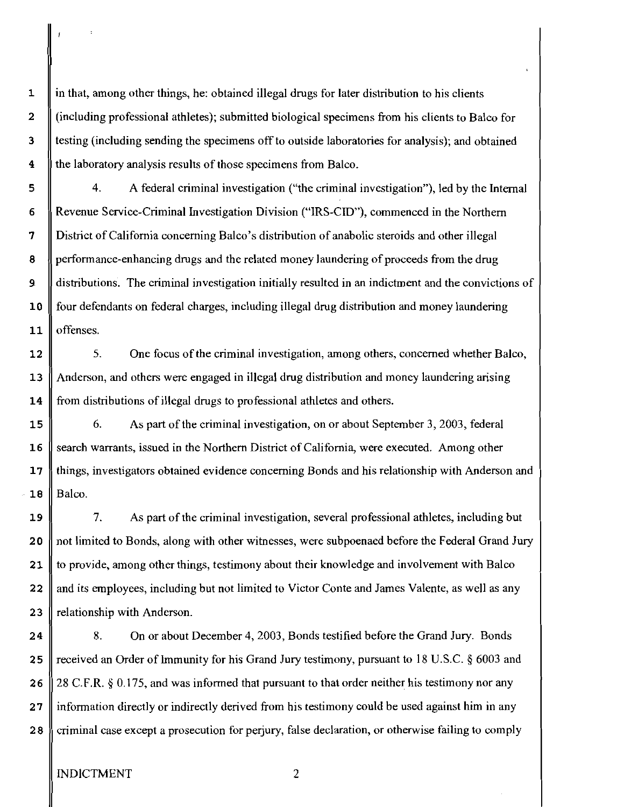$\mathbf{1}$ in that, among other things, he: obtained illegal drugs for later distribution to his clients  $\overline{2}$ (including professional athletes); submitted biological specimens from his clients to Balco for  $\overline{\mathbf{3}}$ testing (including sending the specimens off to outside laboratories for analysis); and obtained  $\overline{\mathbf{4}}$ the laboratory analysis results of those specimens from Balco.

4. A federal criminal investigation ("the criminal investigation"), led by the Internal 5 6 Revenue Service-Criminal Investigation Division ("IRS-CID), commenced in the Northern  $\overline{7}$ District of California concerning Balco's distribution of anabolic steroids and other illegal performance-enhancing drugs and the related money laundering of proceeds from the drug 8  $\overline{9}$ distributions. The criminal investigation initially resulted in an indictment and the convictions of 10 four defendants on federal charges, including illegal drug distribution and money laundering offenses.  $11$ 

*5.* One focus of the criminal investigation, among others, concerned whether Balco,  $12$ Anderson, and others were engaged in illegal drug distribution and money laundering arising  $13$ from distributions of illegal drugs to professional athletes and others. 14

15 6. As part of the criminal investigation, on or about September 3, 2003, federal search warrants, issued in the Northern District of California, were executed. Among other  $16$ 17 things, investigators obtained evidence concerning Bonds and his relationship with Anderson and  $-18$ Balco.

19 7. As part of the criminal investigation, several professional athletes, including but not limited to Bonds, along with other witnesses, were subpoenaed before the Federal Grand Jury 20  $21$ to provide, among other things, testimony about their knowledge and involvement with Balco and its employees, including but not limited to Victor Conte and James Valente, as well as any 22 23 relationship with Anderson.

 $24$ **8.** On or about December 4,2003, Bonds testified before the Grand Jury. Bonds received an Order of Immunity for his Grand Jury testimony, pursuant to 18 U.S.C. § 6003 and 25 28 C.F.R. **8** 0.175, and was informed that pursuant to that order neither his testimony nor any 26  $27$ information directly or indirectly derived from his testimony could be used against him in any  $28$ criminal case except a prosecution for perjury, false declaration, or otherwise failing to comply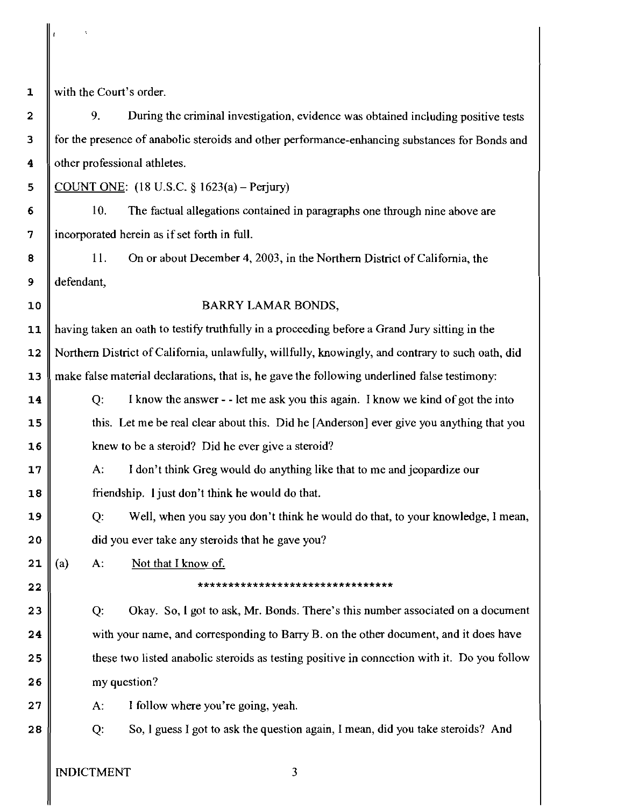$\mathbf{1}$ 

 $\overline{2}$ 

 $\overline{\mathbf{3}}$ 

 $\overline{\mathbf{4}}$ 

with the Court's order.

9. During the criminal investigation, evidence was obtained including positive tests for the presence of anabolic steroids and other performance-enhancing substances for Bonds and other professional athletes.

5 COUNT ONE: (18 U.S.C. *5* 1623(a) - **Perjury)** 

6 10. The factual allegations contained in paragraphs one through nine above are 7 incorporated herein as if set forth in full.

11. On or about December 4,2003, in the Northern District of California, the 8 defendant,  $9$ 

 $10$ 

## BARRY LAMAR BONDS,

having taken an oath to testify truthfully in a proceeding before a Grand Jury sitting in the  $11$ Northern District of California, unlawfully, willfully, knowingly, and contrary to such oath, did  $12$ make false material declarations, that is, he gave the following underlined false testimony:  $13$ 

*Q:* I know the answer - - let me ask you this again. I know we kind of got the into 14 this. Let me be real clear about this. Did he [Anderson] ever give you anything that you  $15$ knew to be a steroid? Did he ever give a steroid?  $16$ 

17 A: I don't think Greg would do anything like that to me and jeopardize our friendship. I just don't think he would do that. 18

Q: Well, when you say you don't think he would do that, to your knowledge, **1** mean, 19  $20$ did you ever take any steroids that he gave you?

 $21$ (a) A: Not that I know of.

 $22$ 

### \*\*\*\*\*\*\*\*\*\*\*\*\*\*\*\*\*\*\*\*\*\*\*\*\*\*\*\*\*\*\*\*

Q: Okay. So, 1 got to ask, Mr. Bonds. There's this number associated on a document  $23$  $24$ with your name, and corresponding to Barry B. on the other document, and it does have these two listed anabolic steroids as testing positive in connection with it. Do you follow 25 26 my question?

A: I follow where you're going, yeah.  $27$ 

 $28$ 

Q: So, 1 guess I got to ask the question again, I mean, did you take steroids? And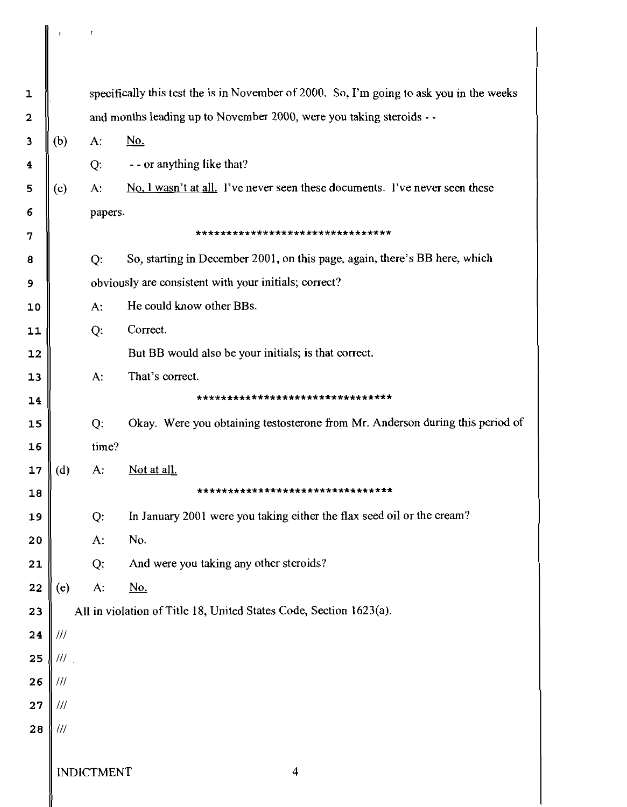| 1                       |                         |                                                                      | specifically this test the is in November of 2000. So, I'm going to ask you in the weeks |  |  |
|-------------------------|-------------------------|----------------------------------------------------------------------|------------------------------------------------------------------------------------------|--|--|
| $\overline{\mathbf{2}}$ |                         | and months leading up to November 2000, were you taking steroids - - |                                                                                          |  |  |
| $\overline{\mathbf{3}}$ | (b)                     | $A$ :                                                                | <u>No.</u>                                                                               |  |  |
| 4                       |                         | Q.                                                                   | - - or anything like that?                                                               |  |  |
| 5                       | (c)                     | A:                                                                   | No. I wasn't at all. I've never seen these documents. I've never seen these              |  |  |
| $6\phantom{1}6$         |                         | papers.                                                              |                                                                                          |  |  |
| 7                       |                         |                                                                      | ********************************                                                         |  |  |
| 8                       |                         | Q:                                                                   | So, starting in December 2001, on this page, again, there's BB here, which               |  |  |
| 9                       |                         | obviously are consistent with your initials; correct?                |                                                                                          |  |  |
| 10                      |                         | A:                                                                   | He could know other BBs.                                                                 |  |  |
| 11                      |                         | Q:                                                                   | Correct.                                                                                 |  |  |
| 12                      |                         |                                                                      | But BB would also be your initials; is that correct.                                     |  |  |
| 13                      |                         | A:                                                                   | That's correct.                                                                          |  |  |
| 14                      |                         |                                                                      | ********************************                                                         |  |  |
| 15                      |                         | Q.                                                                   | Okay. Were you obtaining testosterone from Mr. Anderson during this period of            |  |  |
| 16                      |                         | time?                                                                |                                                                                          |  |  |
| 17                      | (d)                     | A:                                                                   | Not at all.                                                                              |  |  |
| 18                      |                         |                                                                      | ********************************                                                         |  |  |
| 19                      |                         | $Q$ :                                                                | In January 2001 were you taking either the flax seed oil or the cream?                   |  |  |
| 20                      |                         | $A$ :                                                                | No.                                                                                      |  |  |
| 21                      |                         | Q:                                                                   | And were you taking any other steroids?                                                  |  |  |
| 22                      | (e)                     | A:                                                                   | <u>No.</u>                                                                               |  |  |
| 23                      |                         | All in violation of Title 18, United States Code, Section 1623(a).   |                                                                                          |  |  |
| 24                      | $^{\prime\prime\prime}$ |                                                                      |                                                                                          |  |  |
| 25                      | 111                     |                                                                      |                                                                                          |  |  |
| 26                      | 111                     |                                                                      |                                                                                          |  |  |
| 27                      | 111                     |                                                                      |                                                                                          |  |  |
| 28                      | 111                     |                                                                      |                                                                                          |  |  |
|                         | <b>INDICTMENT</b><br>4  |                                                                      |                                                                                          |  |  |

║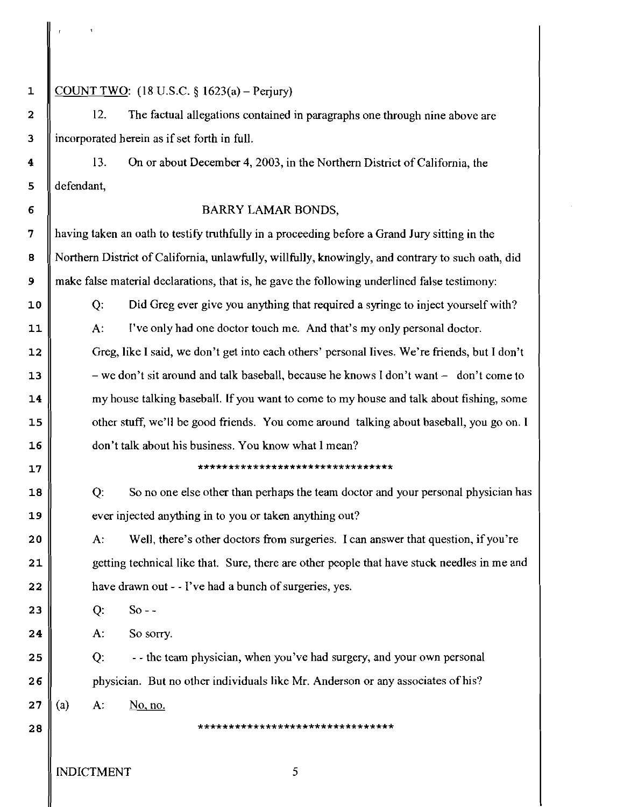# COUNT TWO:  $(18 \text{ U.S.C. } 8 \text{ 1623(a)} -$ Periury)

12. The factual allegations contained in paragraphs one through nine above are incorporated herein as if set forth in full.

13. On or about December 4,2003, in the Northern District of California, the defendant,

## BARRY LAMAR BONDS,

having taken an oath to testify truthfully in a proceeding before a Grand Jury sitting in the Northern District of California, unlawfully, willfully, knowingly, and contrary to such oath, did make false material declarations, that is, he gave the following underlined false testimony:

Q: Did Greg ever give you anything that required a syringe to inject yourself with?

A: I've only had one doctor touch me. And that's my only personal doctor.

Greg, like 1 said, we don't get into each others' personal Iives. We're friends, but I don't - we don't sit around and talk baseball, because he knows I don't want - don't come to my house talking basebalI. If you want to come to my house and talk about fishing, some other stuff, we'll be good friends. You wme around talking about baseball, you go on. I don't talk about his business. You know what 1 mean?

#### \*\*\*\*\*\*\*\*\*\*\*\*\*\*\*\*\*\*\*\*\*\*\*\*\*\*\*\*\*\*\*

Q: So no one else other than perhaps the team doctor and your personal physician has ever injected anything in to you or taken anything out?

A: WeIl, there's other doctors from surgeries. I can answer that question, if you're getting technical like that. Sure, there are other people that have stuck needles in me and have drawn out - - I've had a bunch of surgeries, yes.

Q: So - -

A: So sorry.

Q: - - the team physician, when you've had surgery, and your own personal  $26$ physician. But no other individuals like Mr. Anderson or any associates of his?

 $27$ (a) A: No, no.

 $28$ 

\*\*\*\*\*\*\*\*\*\*\*\*\*\*\*\*\*\*\*\*\*\*\*\*\*\*\*\*\*\*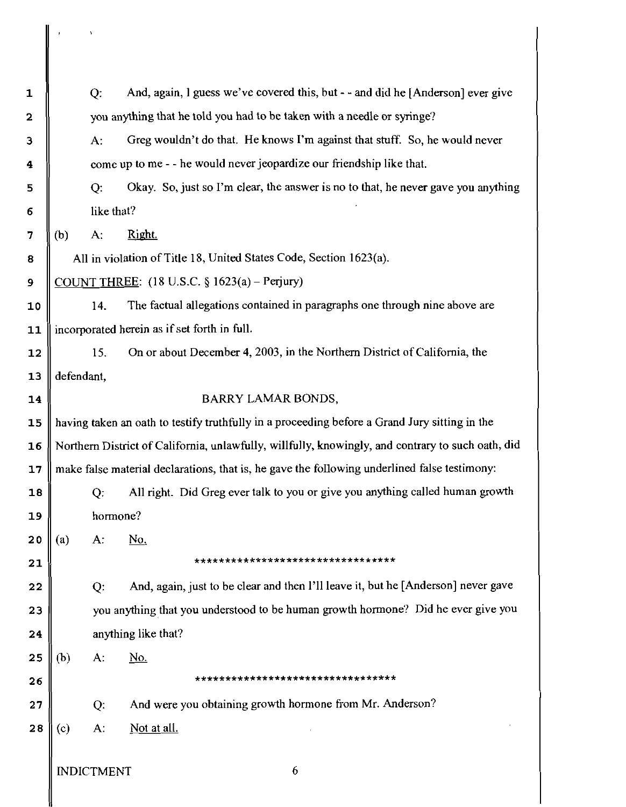| $\mathbf 1$  |                                                                                                   | Q:                | And, again, I guess we've covered this, but - - and did he [Anderson] ever give              |  |
|--------------|---------------------------------------------------------------------------------------------------|-------------------|----------------------------------------------------------------------------------------------|--|
| $\mathbf{2}$ | you anything that he told you had to be taken with a needle or syringe?                           |                   |                                                                                              |  |
| З            |                                                                                                   | A:                | Greg wouldn't do that. He knows I'm against that stuff. So, he would never                   |  |
| 4            | come up to me - - he would never jeopardize our friendship like that.                             |                   |                                                                                              |  |
| 5            |                                                                                                   | Q:                | Okay. So, just so I'm clear, the answer is no to that, he never gave you anything            |  |
| 6            | like that?                                                                                        |                   |                                                                                              |  |
| 7            | (b)                                                                                               | A:                | Right.                                                                                       |  |
| 8            | All in violation of Title 18, United States Code, Section 1623(a).                                |                   |                                                                                              |  |
| $\mathbf{9}$ | COUNT THREE: $(18 \text{ U.S.C. } § 1623(a) - Perjury)$                                           |                   |                                                                                              |  |
| 10           |                                                                                                   | 14.               | The factual allegations contained in paragraphs one through nine above are                   |  |
| 11           |                                                                                                   |                   | incorporated herein as if set forth in full.                                                 |  |
| 12           |                                                                                                   | 15.               | On or about December 4, 2003, in the Northern District of California, the                    |  |
| 13           | defendant,                                                                                        |                   |                                                                                              |  |
| 14           |                                                                                                   |                   | <b>BARRY LAMAR BONDS,</b>                                                                    |  |
| 15           | having taken an oath to testify truthfully in a proceeding before a Grand Jury sitting in the     |                   |                                                                                              |  |
| 16           | Northern District of California, unlawfully, willfully, knowingly, and contrary to such oath, did |                   |                                                                                              |  |
| 17           |                                                                                                   |                   | make false material declarations, that is, he gave the following underlined false testimony: |  |
| 18           |                                                                                                   | Q:                | All right. Did Greg ever talk to you or give you anything called human growth                |  |
| 19           | hormone?                                                                                          |                   |                                                                                              |  |
| 20           | (a)                                                                                               | $A$ :             | No.                                                                                          |  |
| 21           |                                                                                                   |                   | *********************************                                                            |  |
| 22           |                                                                                                   | Q:                | And, again, just to be clear and then I'll leave it, but he [Anderson] never gave            |  |
| 23           | you anything that you understood to be human growth hormone? Did he ever give you                 |                   |                                                                                              |  |
| 24           | anything like that?                                                                               |                   |                                                                                              |  |
| 25           | (b)                                                                                               | $A$ :             | <u>No.</u>                                                                                   |  |
| 26           |                                                                                                   |                   | *********************************                                                            |  |
| 27           |                                                                                                   | Q.                | And were you obtaining growth hormone from Mr. Anderson?                                     |  |
| 28           | (c)                                                                                               | $A$ :             | Not at all.                                                                                  |  |
|              |                                                                                                   |                   |                                                                                              |  |
|              |                                                                                                   | <b>INDICTMENT</b> | 6                                                                                            |  |

 $\begin{array}{|c|c|c|}\hline \rule{0pt}{16pt} & & \multicolumn{1}{|c|}{\text{ }} \\ \hline \rule{0pt}{16pt} & & \multicolumn{1}{|c|}{\text{ }} \\ \hline \rule{0pt}{16pt} & & \multicolumn{1}{|c|}{\text{ }} \\ \hline \rule{0pt}{16pt} & & \multicolumn{1}{|c|}{\text{ }} \\ \hline \rule{0pt}{16pt} & & \multicolumn{1}{|c|}{\text{ }} \\ \hline \rule{0pt}{16pt} & & \multicolumn{1}{|c|}{\text{ }} \\ \hline \rule{0pt}{16pt} & & \multicolumn{1}{$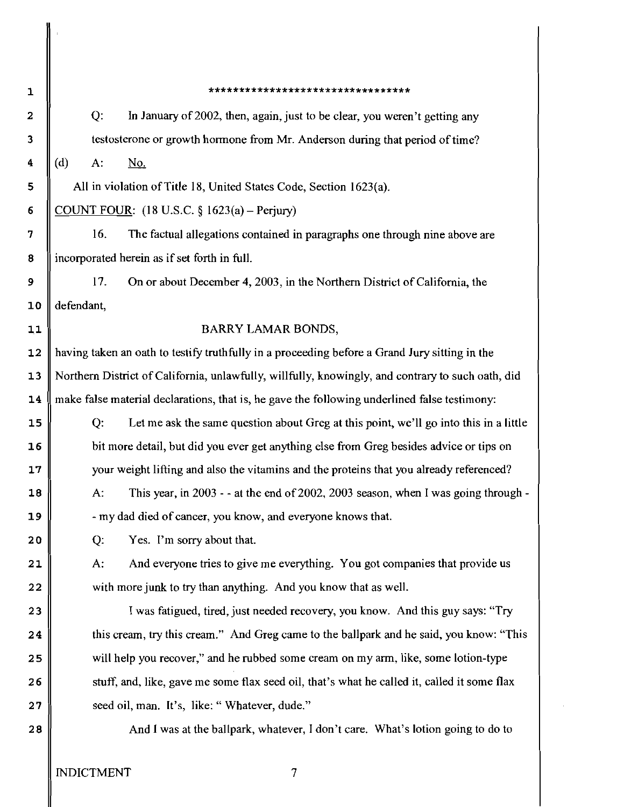\*\*\*\*\*\*\*\*\*\*\*\*\*\*\*\*\*\*\*\*\*\*\*\*\*\*\*\*\*\*\*\*\*  $\mathbf{1}$ Q: In January of 2002, then, again, just to be clear, you weren't getting any  $\overline{2}$ testosterone or growth hormone from Mr. Anderson during that period of time?  $\overline{\mathbf{3}}$  $\ddot{\bf{4}}$ d) A: **No.**  5 All in violation of Title 18, United States Code, Section 1623(a). 6 COUNT FOUR:  $(18 \text{ U.S.C. } 8 \text{ 1623(a) - Perjury})$ 7 16. The factual allegations contained in paragraphs one through nine above are ncorporated herein as if set forth in full. 8 9 17. On or about December 4, 2003, in the Northern District of California, the 10 defendant,  $11$ BARRY LAMAR BONDS, having taken an oath to testify truthfully in a proceeding before a Grand Jury sitting in the  $12$  $13$ Northern District of California, unlawfully, willfully, knowingly, and contrary to such oath, did nake false material declarations, that is, he gave the following underlined false testimony:  $14$ Q: Let me ask the same question about Greg at this point, we'll go into this in a little  $15$  $16$ bit more detail, but did you ever get anything else from Greg besides advice or tips on  $17$ your weight lifting and also the vitamins and the proteins that you already referenced? A: This year, in 2003 - - at the end of 2002,2003 season, when I was going through - 18 -my dad died of cancer, you know, and everyone knows that.  $19$  $20$ Q: Yes. I'm sorry about that.  $21$ A: And everyone tries to give me everything. You got companies that provide us with more junk to try than anything. And you know that as well.  $22$ 23 I was fatigued, tired, just needed recovery, you know. And this guy says: "Try this cream, try this cream." And Greg came to the ballpark and he said, you know: "This 24 will help you recover," and he rubbed some cream on my arm, like, some lotion-type 25 26 stuff, and, like, gave me some flax seed oil, that's what he called it, called it some flax seed oil, man. It's, like: " Whatever, dude."  $27$  $28$ And 1 was at the ballpark, whatever, I don't care. What's lotion going to do to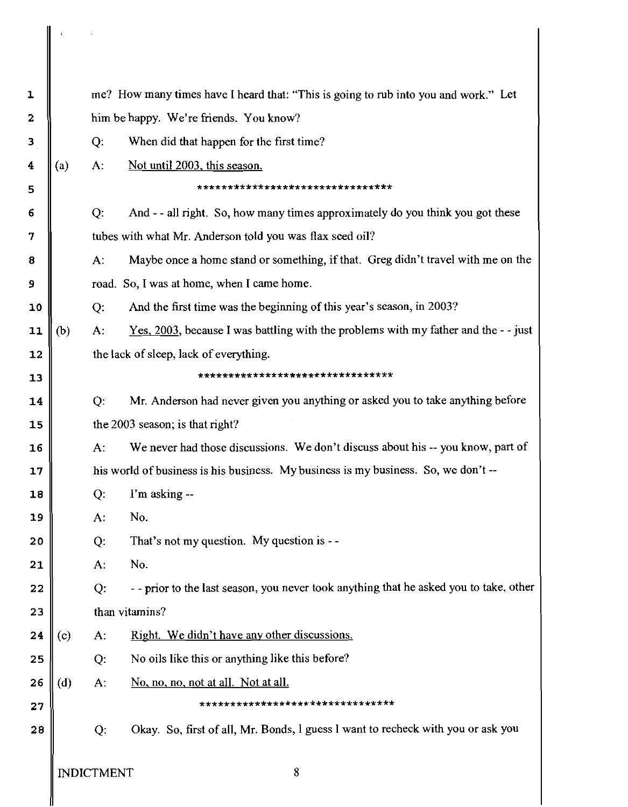| 1  |                                            |                                                                                    | me? How many times have I heard that: "This is going to rub into you and work." Let           |  |  |  |  |
|----|--------------------------------------------|------------------------------------------------------------------------------------|-----------------------------------------------------------------------------------------------|--|--|--|--|
| 2  |                                            | him be happy. We're friends. You know?                                             |                                                                                               |  |  |  |  |
| 3  |                                            | Q:                                                                                 | When did that happen for the first time?                                                      |  |  |  |  |
| 4  | (a)                                        | $A$ :                                                                              | Not until 2003, this season.                                                                  |  |  |  |  |
| 5  |                                            | ********************************                                                   |                                                                                               |  |  |  |  |
| 6  |                                            | $Q$ :                                                                              | And -- all right. So, how many times approximately do you think you got these                 |  |  |  |  |
| 7  |                                            |                                                                                    | tubes with what Mr. Anderson told you was flax seed oil?                                      |  |  |  |  |
| 8  |                                            | $A$ :                                                                              | Maybe once a home stand or something, if that. Greg didn't travel with me on the              |  |  |  |  |
| 9  | road. So, I was at home, when I came home. |                                                                                    |                                                                                               |  |  |  |  |
| 10 |                                            | Q:                                                                                 | And the first time was the beginning of this year's season, in 2003?                          |  |  |  |  |
| 11 | (b)                                        | $A$ :                                                                              | <u>Yes, 2003</u> , because I was battling with the problems with my father and the $-$ - just |  |  |  |  |
| 12 |                                            |                                                                                    | the lack of sleep, lack of everything.                                                        |  |  |  |  |
| 13 |                                            |                                                                                    | ********************************                                                              |  |  |  |  |
| 14 |                                            | Q:                                                                                 | Mr. Anderson had never given you anything or asked you to take anything before                |  |  |  |  |
| 15 |                                            |                                                                                    | the 2003 season; is that right?                                                               |  |  |  |  |
| 16 |                                            | $A$ :                                                                              | We never had those discussions. We don't discuss about his -- you know, part of               |  |  |  |  |
| 17 |                                            | his world of business is his business. My business is my business. So, we don't -- |                                                                                               |  |  |  |  |
| 18 |                                            | Q:                                                                                 | I'm asking --                                                                                 |  |  |  |  |
| 19 |                                            | $A$ :                                                                              | No.                                                                                           |  |  |  |  |
| 20 |                                            | $Q$ :                                                                              | That's not my question. My question is --                                                     |  |  |  |  |
| 21 |                                            | $A$ :                                                                              | No.                                                                                           |  |  |  |  |
| 22 |                                            | Q:                                                                                 | - - prior to the last season, you never took anything that he asked you to take, other        |  |  |  |  |
| 23 |                                            |                                                                                    | than vitamins?                                                                                |  |  |  |  |
| 24 | (c)                                        | A:                                                                                 | Right. We didn't have any other discussions.                                                  |  |  |  |  |
| 25 |                                            | Q:                                                                                 | No oils like this or anything like this before?                                               |  |  |  |  |
| 26 | (d)                                        | А:                                                                                 | No, no, no, not at all. Not at all.                                                           |  |  |  |  |
| 27 |                                            |                                                                                    | ********************************                                                              |  |  |  |  |
| 28 |                                            | Q:                                                                                 | Okay. So, first of all, Mr. Bonds, I guess I want to recheck with you or ask you              |  |  |  |  |
|    | <b>INDICTMENT</b>                          |                                                                                    | 8                                                                                             |  |  |  |  |

∥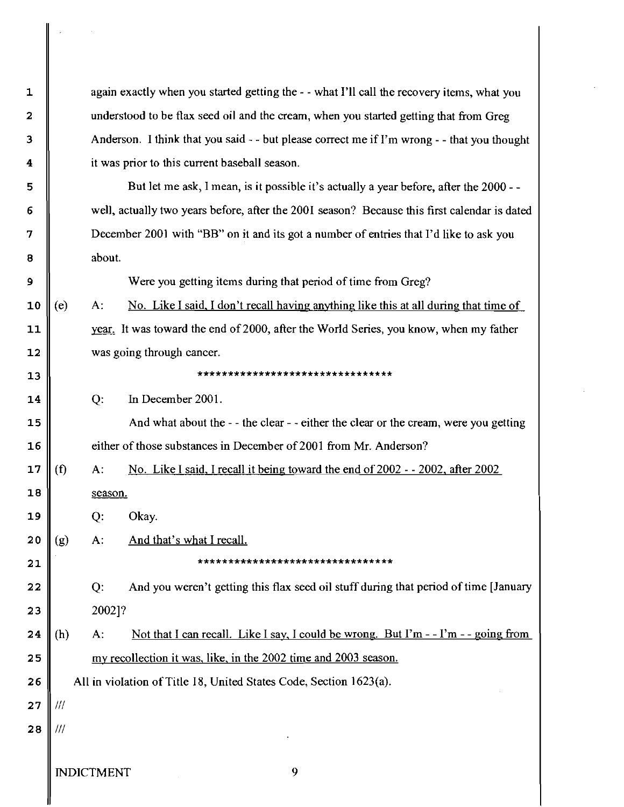again exactly when you started getting the - - what 1'11 call the recovery items, what you understood to be flax seed oil and the cream, when you started getting that from Greg Anderson. I think that you said - - but please correct me if I'm wrong - - that you thought it was prior to this current baseball season.

But let me ask, 1 mean, is it possible it's actually a year before, after the 2000 - well, actually two years before, after the 2001 season? Because this first calendar is dated December 2001 with "BB" on it and its got a number of entries that I'd like to ask you about.

Were you getting items during that period of time from Greg?

 $(e)$ A: No. Like I said, I don't recall having anything like this at all during that time of year. It was toward the end of 2000, after the WorId Series, you know, when my father was going through cancer.

................................

Q: In December 2001.

And what about the - - the clear - - either the clear or the cream, were you getting either of those substances in December of 2001 from Mr. Anderson?

 $17$  $(f)$ A: No. Like I said. I recaIl it beine toward the end of 2002 - - 2002, after 2002 18 season.

Q: Okay.

 $20$  $(g)$ A: And that's what I recall.

\*\*\*\*\*\*\*\*\*\*\*\*\*\*\*\*\*\*\*\*\*\*\*\*\*\*\*\*\*\*\*\*

Q: And you weren't getting this flax seed oil stuff during that period of time [January  $22$ 2002]? 23

A: Not that I can recall. Like I say, I could be wrong. But I'm  $-$ -I'm  $-$ -going from 24  $(h)$ my recollection it was. like. in the 2002 time and 2003 season. 25

26 All in vioIation of Title 18, United States Code, Section 1623(a).

 $27$ Ill

 $\mathbf{1}$ 

 $\overline{2}$ 

3

4

5

6

7

8

9

 $10$ 

11

 $12$ 

 $13$ 

14

 $15$ 

16

19

 $21$ 

28 Ill

INDICTMENT

9